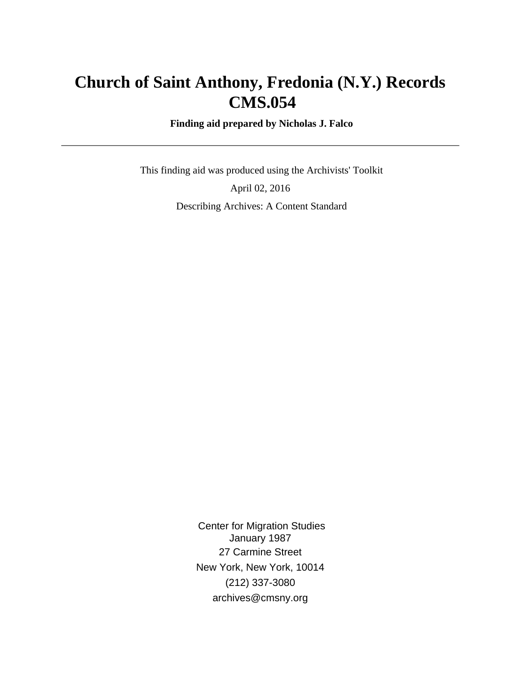# **Church of Saint Anthony, Fredonia (N.Y.) Records CMS.054**

 **Finding aid prepared by Nicholas J. Falco**

 This finding aid was produced using the Archivists' Toolkit April 02, 2016 Describing Archives: A Content Standard

> Center for Migration Studies January 1987 27 Carmine Street New York, New York, 10014 (212) 337-3080 archives@cmsny.org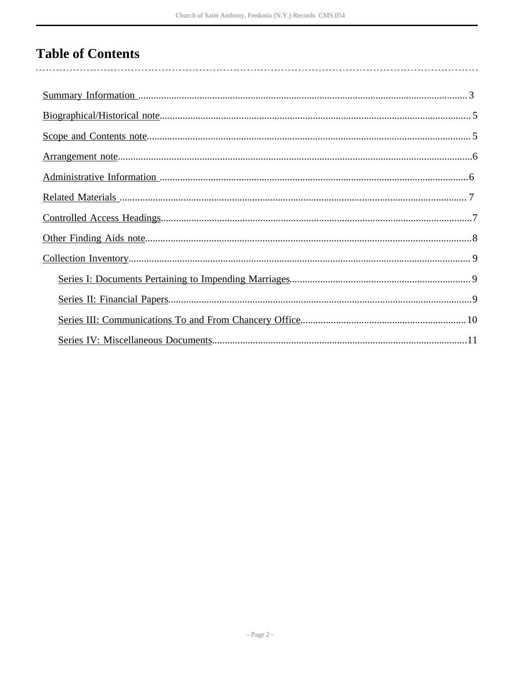# **Table of Contents**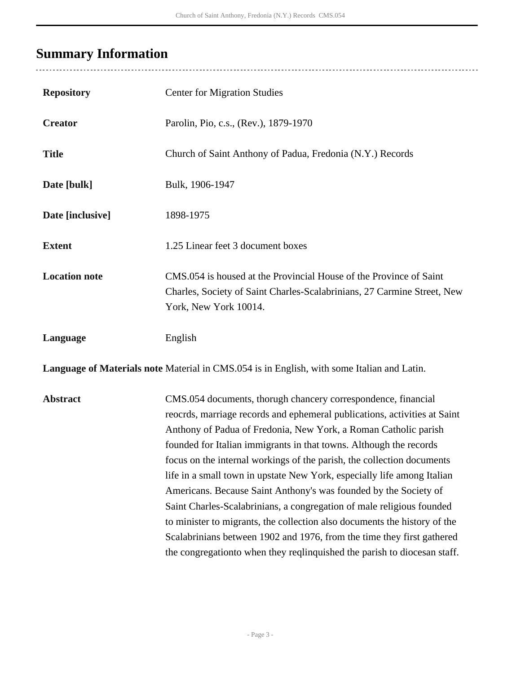# <span id="page-2-0"></span>**Summary Information**

l,

| <b>Repository</b>                                                                          | <b>Center for Migration Studies</b>                                                                                                                                                                                                                                                                                                                                                                                                                                                                                                                                                                                                                                                                                                                                                                                       |  |  |  |  |
|--------------------------------------------------------------------------------------------|---------------------------------------------------------------------------------------------------------------------------------------------------------------------------------------------------------------------------------------------------------------------------------------------------------------------------------------------------------------------------------------------------------------------------------------------------------------------------------------------------------------------------------------------------------------------------------------------------------------------------------------------------------------------------------------------------------------------------------------------------------------------------------------------------------------------------|--|--|--|--|
| <b>Creator</b>                                                                             | Parolin, Pio, c.s., (Rev.), 1879-1970                                                                                                                                                                                                                                                                                                                                                                                                                                                                                                                                                                                                                                                                                                                                                                                     |  |  |  |  |
| <b>Title</b>                                                                               | Church of Saint Anthony of Padua, Fredonia (N.Y.) Records                                                                                                                                                                                                                                                                                                                                                                                                                                                                                                                                                                                                                                                                                                                                                                 |  |  |  |  |
| Date [bulk]                                                                                | Bulk, 1906-1947                                                                                                                                                                                                                                                                                                                                                                                                                                                                                                                                                                                                                                                                                                                                                                                                           |  |  |  |  |
| Date [inclusive]                                                                           | 1898-1975                                                                                                                                                                                                                                                                                                                                                                                                                                                                                                                                                                                                                                                                                                                                                                                                                 |  |  |  |  |
| <b>Extent</b>                                                                              | 1.25 Linear feet 3 document boxes                                                                                                                                                                                                                                                                                                                                                                                                                                                                                                                                                                                                                                                                                                                                                                                         |  |  |  |  |
| <b>Location note</b>                                                                       | CMS.054 is housed at the Provincial House of the Province of Saint<br>Charles, Society of Saint Charles-Scalabrinians, 27 Carmine Street, New<br>York, New York 10014.                                                                                                                                                                                                                                                                                                                                                                                                                                                                                                                                                                                                                                                    |  |  |  |  |
| Language                                                                                   | English                                                                                                                                                                                                                                                                                                                                                                                                                                                                                                                                                                                                                                                                                                                                                                                                                   |  |  |  |  |
| Language of Materials note Material in CMS.054 is in English, with some Italian and Latin. |                                                                                                                                                                                                                                                                                                                                                                                                                                                                                                                                                                                                                                                                                                                                                                                                                           |  |  |  |  |
| <b>Abstract</b>                                                                            | CMS.054 documents, thorugh chancery correspondence, financial<br>reocrds, marriage records and ephemeral publications, activities at Saint<br>Anthony of Padua of Fredonia, New York, a Roman Catholic parish<br>founded for Italian immigrants in that towns. Although the records<br>focus on the internal workings of the parish, the collection documents<br>life in a small town in upstate New York, especially life among Italian<br>Americans. Because Saint Anthony's was founded by the Society of<br>Saint Charles-Scalabrinians, a congregation of male religious founded<br>to minister to migrants, the collection also documents the history of the<br>Scalabrinians between 1902 and 1976, from the time they first gathered<br>the congregation to when they reqlinquished the parish to diocesan staff. |  |  |  |  |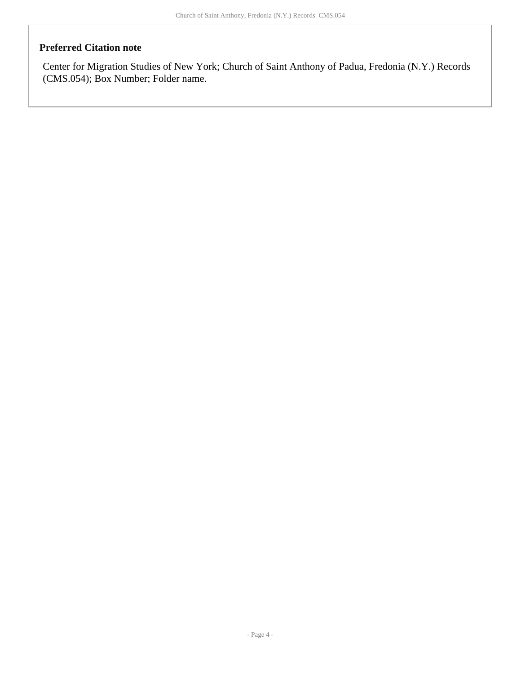#### **Preferred Citation note**

Center for Migration Studies of New York; Church of Saint Anthony of Padua, Fredonia (N.Y.) Records (CMS.054); Box Number; Folder name.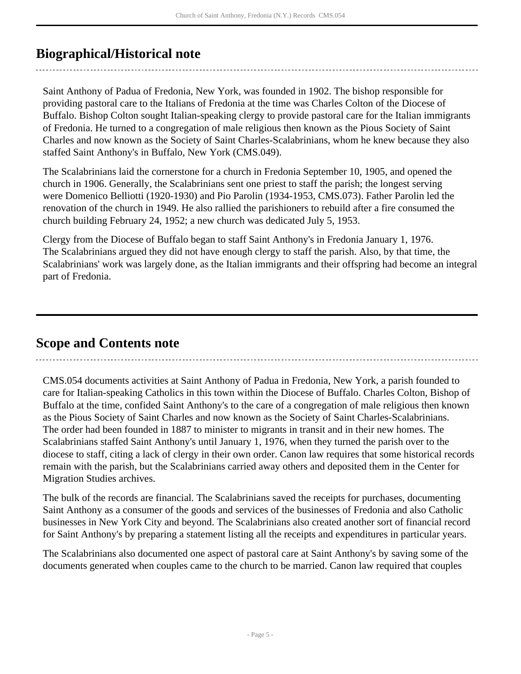## <span id="page-4-0"></span>**Biographical/Historical note**

Saint Anthony of Padua of Fredonia, New York, was founded in 1902. The bishop responsible for providing pastoral care to the Italians of Fredonia at the time was Charles Colton of the Diocese of Buffalo. Bishop Colton sought Italian-speaking clergy to provide pastoral care for the Italian immigrants of Fredonia. He turned to a congregation of male religious then known as the Pious Society of Saint Charles and now known as the Society of Saint Charles-Scalabrinians, whom he knew because they also staffed Saint Anthony's in Buffalo, New York (CMS.049).

The Scalabrinians laid the cornerstone for a church in Fredonia September 10, 1905, and opened the church in 1906. Generally, the Scalabrinians sent one priest to staff the parish; the longest serving were Domenico Belliotti (1920-1930) and Pio Parolin (1934-1953, CMS.073). Father Parolin led the renovation of the church in 1949. He also rallied the parishioners to rebuild after a fire consumed the church building February 24, 1952; a new church was dedicated July 5, 1953.

Clergy from the Diocese of Buffalo began to staff Saint Anthony's in Fredonia January 1, 1976. The Scalabrinians argued they did not have enough clergy to staff the parish. Also, by that time, the Scalabrinians' work was largely done, as the Italian immigrants and their offspring had become an integral part of Fredonia.

### <span id="page-4-1"></span>**Scope and Contents note**

CMS.054 documents activities at Saint Anthony of Padua in Fredonia, New York, a parish founded to care for Italian-speaking Catholics in this town within the Diocese of Buffalo. Charles Colton, Bishop of Buffalo at the time, confided Saint Anthony's to the care of a congregation of male religious then known as the Pious Society of Saint Charles and now known as the Society of Saint Charles-Scalabrinians. The order had been founded in 1887 to minister to migrants in transit and in their new homes. The Scalabrinians staffed Saint Anthony's until January 1, 1976, when they turned the parish over to the diocese to staff, citing a lack of clergy in their own order. Canon law requires that some historical records remain with the parish, but the Scalabrinians carried away others and deposited them in the Center for Migration Studies archives.

The bulk of the records are financial. The Scalabrinians saved the receipts for purchases, documenting Saint Anthony as a consumer of the goods and services of the businesses of Fredonia and also Catholic businesses in New York City and beyond. The Scalabrinians also created another sort of financial record for Saint Anthony's by preparing a statement listing all the receipts and expenditures in particular years.

The Scalabrinians also documented one aspect of pastoral care at Saint Anthony's by saving some of the documents generated when couples came to the church to be married. Canon law required that couples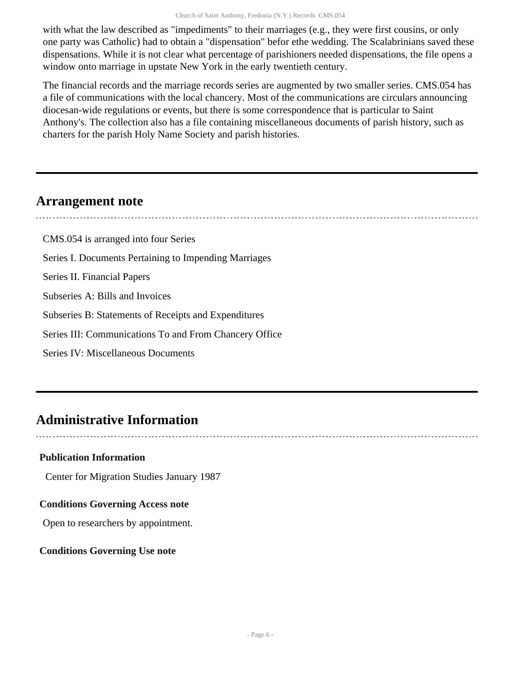with what the law described as "impediments" to their marriages (e.g., they were first cousins, or only one party was Catholic) had to obtain a "dispensation" befor ethe wedding. The Scalabrinians saved these dispensations. While it is not clear what percentage of parishioners needed dispensations, the file opens a window onto marriage in upstate New York in the early twentieth century.

The financial records and the marriage records series are augmented by two smaller series. CMS.054 has a file of communications with the local chancery. Most of the communications are circulars announcing diocesan-wide regulations or events, but there is some correspondence that is particular to Saint Anthony's. The collection also has a file containing miscellaneous documents of parish history, such as charters for the parish Holy Name Society and parish histories.

### <span id="page-5-0"></span>**Arrangement note**

CMS.054 is arranged into four Series Series I. Documents Pertaining to Impending Marriages Series II. Financial Papers Subseries A: Bills and Invoices Subseries B: Statements of Receipts and Expenditures Series III: Communications To and From Chancery Office Series IV: Miscellaneous Documents

## <span id="page-5-1"></span>**Administrative Information**

#### **Publication Information**

Center for Migration Studies January 1987

#### **Conditions Governing Access note**

Open to researchers by appointment.

#### **Conditions Governing Use note**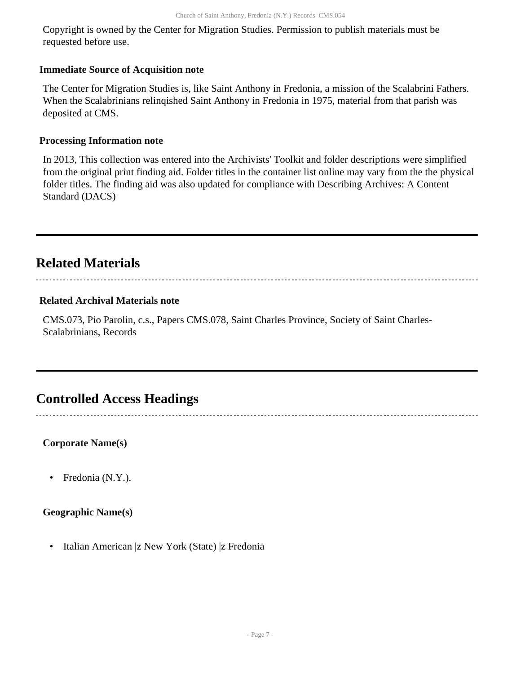Copyright is owned by the Center for Migration Studies. Permission to publish materials must be requested before use.

#### **Immediate Source of Acquisition note**

The Center for Migration Studies is, like Saint Anthony in Fredonia, a mission of the Scalabrini Fathers. When the Scalabrinians relinqished Saint Anthony in Fredonia in 1975, material from that parish was deposited at CMS.

#### **Processing Information note**

In 2013, This collection was entered into the Archivists' Toolkit and folder descriptions were simplified from the original print finding aid. Folder titles in the container list online may vary from the the physical folder titles. The finding aid was also updated for compliance with Describing Archives: A Content Standard (DACS)

## <span id="page-6-0"></span>**Related Materials**

#### **Related Archival Materials note**

CMS.073, Pio Parolin, c.s., Papers CMS.078, Saint Charles Province, Society of Saint Charles-Scalabrinians, Records

### <span id="page-6-1"></span>**Controlled Access Headings**

**Corporate Name(s)**

• Fredonia (N.Y.).

#### **Geographic Name(s)**

• Italian American |z New York (State) |z Fredonia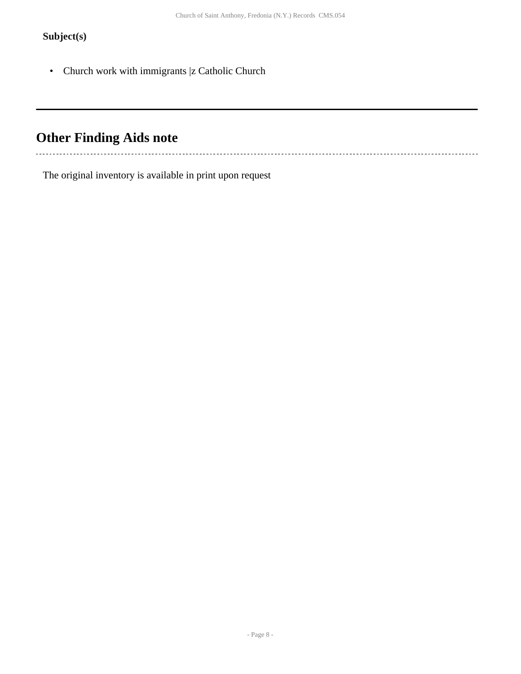### **Subject(s)**

 $\ddot{\phantom{a}}$ 

• Church work with immigrants |z Catholic Church

# <span id="page-7-0"></span>**Other Finding Aids note**

The original inventory is available in print upon request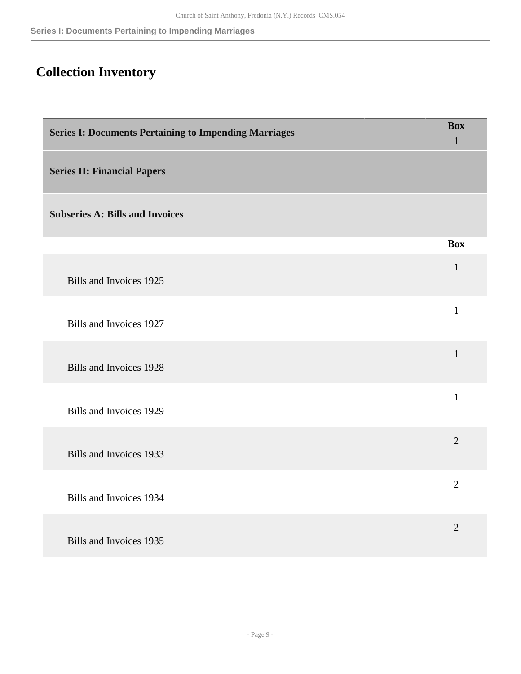# <span id="page-8-0"></span>**Collection Inventory**

<span id="page-8-2"></span><span id="page-8-1"></span>

| <b>Series I: Documents Pertaining to Impending Marriages</b> | <b>Box</b><br>$\mathbf{1}$ |
|--------------------------------------------------------------|----------------------------|
| <b>Series II: Financial Papers</b>                           |                            |
| <b>Subseries A: Bills and Invoices</b>                       |                            |
|                                                              | <b>Box</b>                 |
| Bills and Invoices 1925                                      | $\mathbf{1}$               |
| Bills and Invoices 1927                                      | $\mathbf{1}$               |
| Bills and Invoices 1928                                      | $\mathbf{1}$               |
| Bills and Invoices 1929                                      | $\mathbf{1}$               |
| Bills and Invoices 1933                                      | $\overline{2}$             |
| <b>Bills and Invoices 1934</b>                               | $\overline{2}$             |
| Bills and Invoices 1935                                      | $\overline{2}$             |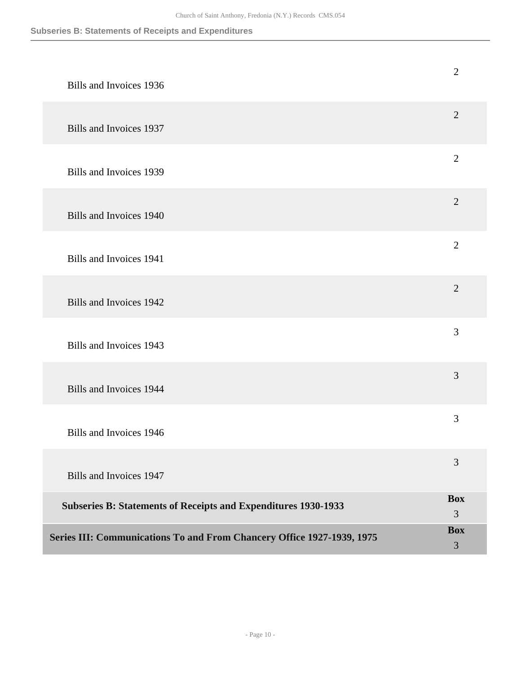<span id="page-9-0"></span>

| Series III: Communications To and From Chancery Office 1927-1939, 1975 | <b>Box</b><br>3 |
|------------------------------------------------------------------------|-----------------|
| <b>Subseries B: Statements of Receipts and Expenditures 1930-1933</b>  | <b>Box</b><br>3 |
| Bills and Invoices 1947                                                | 3               |
| Bills and Invoices 1946                                                | 3               |
| Bills and Invoices 1944                                                | 3               |
| Bills and Invoices 1943                                                | 3               |
| Bills and Invoices 1942                                                | $\overline{2}$  |
| Bills and Invoices 1941                                                | $\overline{2}$  |
| Bills and Invoices 1940                                                | $\overline{2}$  |
| <b>Bills and Invoices 1939</b>                                         | $\overline{2}$  |
| Bills and Invoices 1937                                                | $\overline{2}$  |
| Bills and Invoices 1936                                                | $\mathbf{2}$    |